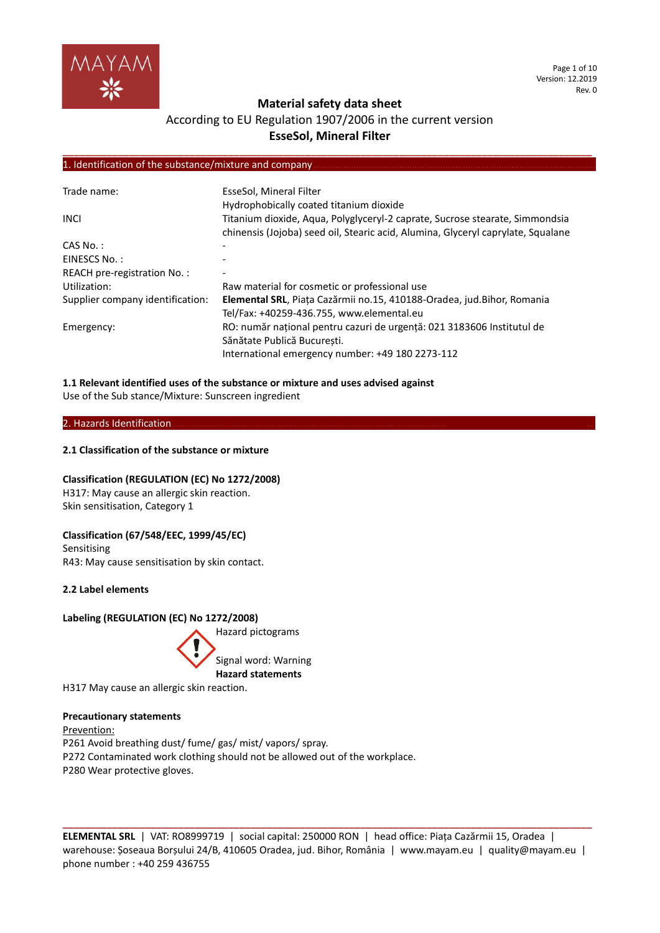

## **Material safety data sheet**

## According to EU Regulation 1907/2006 in the current version **EsseSol, Mineral Filter**

**\_\_\_\_\_\_\_\_\_\_\_\_\_\_\_\_\_\_\_\_\_\_\_\_\_\_\_\_\_\_\_\_\_\_\_\_\_\_\_\_\_\_\_\_\_\_\_\_\_\_\_\_\_\_\_\_\_\_\_\_\_\_\_\_\_\_\_\_\_\_\_\_\_\_\_\_\_\_\_\_\_\_\_\_\_\_\_\_\_\_\_\_\_\_\_\_**

#### 1. Identification of the substance/mixture and company

| Trade name:                      | EsseSol, Mineral Filter<br>Hydrophobically coated titanium dioxide                                                                                               |
|----------------------------------|------------------------------------------------------------------------------------------------------------------------------------------------------------------|
| <b>INCL</b>                      | Titanium dioxide, Aqua, Polyglyceryl-2 caprate, Sucrose stearate, Simmondsia<br>chinensis (Jojoba) seed oil, Stearic acid, Alumina, Glyceryl caprylate, Squalane |
| $CAS No.$ :                      |                                                                                                                                                                  |
| EINESCS No.:                     |                                                                                                                                                                  |
| REACH pre-registration No.:      |                                                                                                                                                                  |
| Utilization:                     | Raw material for cosmetic or professional use                                                                                                                    |
| Supplier company identification: | Elemental SRL, Piața Cazărmii no.15, 410188-Oradea, jud.Bihor, Romania<br>Tel/Fax: +40259-436.755, www.elemental.eu                                              |
| Emergency:                       | RO: număr național pentru cazuri de urgență: 021 3183606 Institutul de<br>Sănătate Publică București.<br>International emergency number: +49 180 2273-112        |

## **1.1 Relevant identified uses of the substance or mixture and uses advised against**

Use of the Sub stance/Mixture: Sunscreen ingredient

## 2. Hazards Identification.

## **2.1 Classification of the substance or mixture**

## **Classification (REGULATION (EC) No 1272/2008)**

H317: May cause an allergic skin reaction. Skin sensitisation, Category 1

## **Classification (67/548/EEC, 1999/45/EC)**

Sensitising R43: May cause sensitisation by skin contact.

**2.2 Label elements**

## **Labeling (REGULATION (EC) No 1272/2008)**



## Signal word: Warning **Hazard statements**

H317 May cause an allergic skin reaction.

#### **Precautionary statements**

Prevention: P261 Avoid breathing dust/ fume/ gas/ mist/ vapors/ spray. P272 Contaminated work clothing should not be allowed out of the workplace. P280 Wear protective gloves.

**ELEMENTAL SRL** | VAT: RO8999719 | social capital: 250000 RON | head office: Piața Cazărmii 15, Oradea | warehouse: Șoseaua Borșului 24/B, 410605 Oradea, jud. Bihor, România | www.mayam.eu | quality@mayam.eu | phone number : +40 259 436755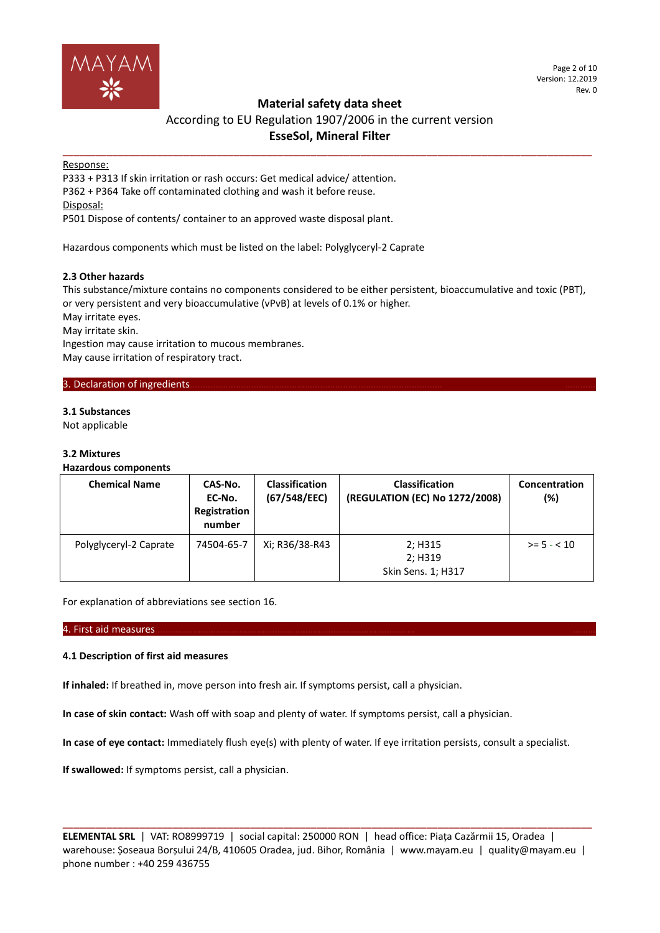

Page 2 of 10 Version: 12.2019 Rev. 0

## **Material safety data sheet**

## According to EU Regulation 1907/2006 in the current version **EsseSol, Mineral Filter**

**\_\_\_\_\_\_\_\_\_\_\_\_\_\_\_\_\_\_\_\_\_\_\_\_\_\_\_\_\_\_\_\_\_\_\_\_\_\_\_\_\_\_\_\_\_\_\_\_\_\_\_\_\_\_\_\_\_\_\_\_\_\_\_\_\_\_\_\_\_\_\_\_\_\_\_\_\_\_\_\_\_\_\_\_\_\_\_\_\_\_\_\_\_\_\_\_**

## Response:

P333 + P313 If skin irritation or rash occurs: Get medical advice/ attention. P362 + P364 Take off contaminated clothing and wash it before reuse. Disposal:

P501 Dispose of contents/ container to an approved waste disposal plant.

Hazardous components which must be listed on the label: Polyglyceryl-2 Caprate

## **2.3 Other hazards**

This substance/mixture contains no components considered to be either persistent, bioaccumulative and toxic (PBT), or very persistent and very bioaccumulative (vPvB) at levels of 0.1% or higher.

May irritate eyes.

May irritate skin.

Ingestion may cause irritation to mucous membranes. May cause irritation of respiratory tract.

## 3. Declaration of ingredients.

## **3.1 Substances**

Not applicable

## **3.2 Mixtures**

## **Hazardous components**

| <b>Chemical Name</b>   | CAS-No.<br>EC-No.<br>Registration<br>number | <b>Classification</b><br>(67/548/EEC) | <b>Classification</b><br>(REGULATION (EC) No 1272/2008) | Concentration<br>(%) |
|------------------------|---------------------------------------------|---------------------------------------|---------------------------------------------------------|----------------------|
| Polyglyceryl-2 Caprate | 74504-65-7                                  | Xi; R36/38-R43                        | 2; H315<br>2; H319<br>Skin Sens. 1; H317                | $>= 5 - < 10$        |

For explanation of abbreviations see section 16.

#### 4. First aid measures………………………………………………………………………………………… ………

#### **4.1 Description of first aid measures**

**If inhaled:** If breathed in, move person into fresh air. If symptoms persist, call a physician.

**In case of skin contact:** Wash off with soap and plenty of water. If symptoms persist, call a physician.

**In case of eye contact:** Immediately flush eye(s) with plenty of water. If eye irritation persists, consult a specialist.

**If swallowed:** If symptoms persist, call a physician.

**ELEMENTAL SRL** | VAT: RO8999719 | social capital: 250000 RON | head office: Piața Cazărmii 15, Oradea | warehouse: Șoseaua Borșului 24/B, 410605 Oradea, jud. Bihor, România | www.mayam.eu | quality@mayam.eu | phone number : +40 259 436755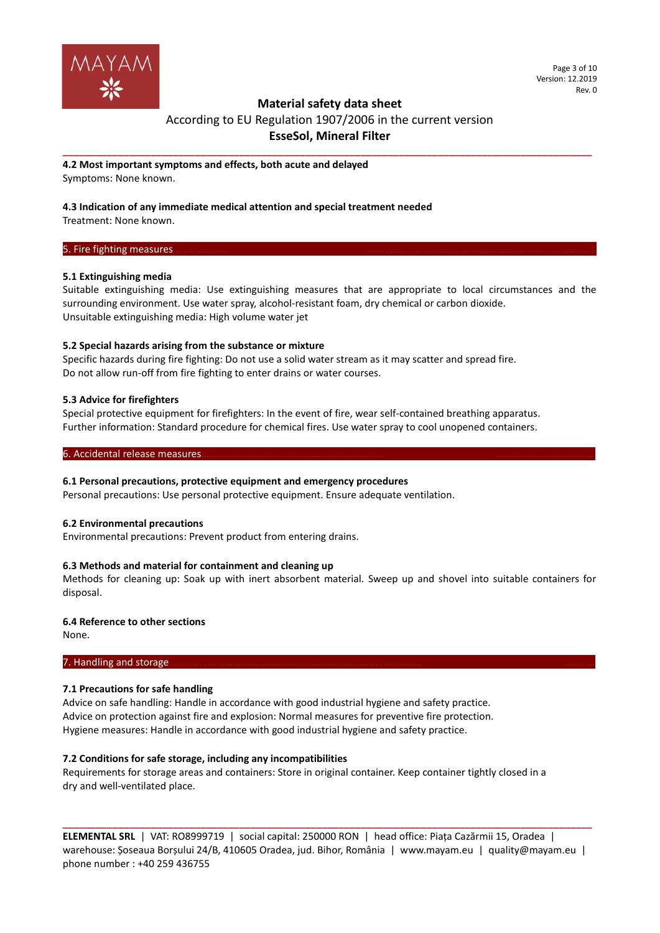

## **Material safety data sheet**

## According to EU Regulation 1907/2006 in the current version **EsseSol, Mineral Filter**

**\_\_\_\_\_\_\_\_\_\_\_\_\_\_\_\_\_\_\_\_\_\_\_\_\_\_\_\_\_\_\_\_\_\_\_\_\_\_\_\_\_\_\_\_\_\_\_\_\_\_\_\_\_\_\_\_\_\_\_\_\_\_\_\_\_\_\_\_\_\_\_\_\_\_\_\_\_\_\_\_\_\_\_\_\_\_\_\_\_\_\_\_\_\_\_\_**

**4.2 Most important symptoms and effects, both acute and delayed** Symptoms: None known.

## **4.3 Indication of any immediate medical attention and special treatment needed**

Treatment: None known.

## 5. Fire fighting measures.

## **5.1 Extinguishing media**

Suitable extinguishing media: Use extinguishing measures that are appropriate to local circumstances and the surrounding environment. Use water spray, alcohol-resistant foam, dry chemical or carbon dioxide. Unsuitable extinguishing media: High volume water jet

## **5.2 Special hazards arising from the substance or mixture**

Specific hazards during fire fighting: Do not use a solid water stream as it may scatter and spread fire. Do not allow run-off from fire fighting to enter drains or water courses.

## **5.3 Advice for firefighters**

Special protective equipment for firefighters: In the event of fire, wear self-contained breathing apparatus. Further information: Standard procedure for chemical fires. Use water spray to cool unopened containers.

## 6. Accidental release measures.

## **6.1 Personal precautions, protective equipment and emergency procedures**

Personal precautions: Use personal protective equipment. Ensure adequate ventilation.

#### **6.2 Environmental precautions**

Environmental precautions: Prevent product from entering drains.

## **6.3 Methods and material for containment and cleaning up**

Methods for cleaning up: Soak up with inert absorbent material. Sweep up and shovel into suitable containers for disposal.

## **6.4 Reference to other sections**

None.

#### 7. Handling and storage.

## **7.1 Precautions for safe handling**

Advice on safe handling: Handle in accordance with good industrial hygiene and safety practice. Advice on protection against fire and explosion: Normal measures for preventive fire protection. Hygiene measures: Handle in accordance with good industrial hygiene and safety practice.

#### **7.2 Conditions for safe storage, including any incompatibilities**

Requirements for storage areas and containers: Store in original container. Keep container tightly closed in a dry and well-ventilated place.

**ELEMENTAL SRL** | VAT: RO8999719 | social capital: 250000 RON | head office: Piața Cazărmii 15, Oradea | warehouse: Șoseaua Borșului 24/B, 410605 Oradea, jud. Bihor, România | www.mayam.eu | quality@mayam.eu | phone number : +40 259 436755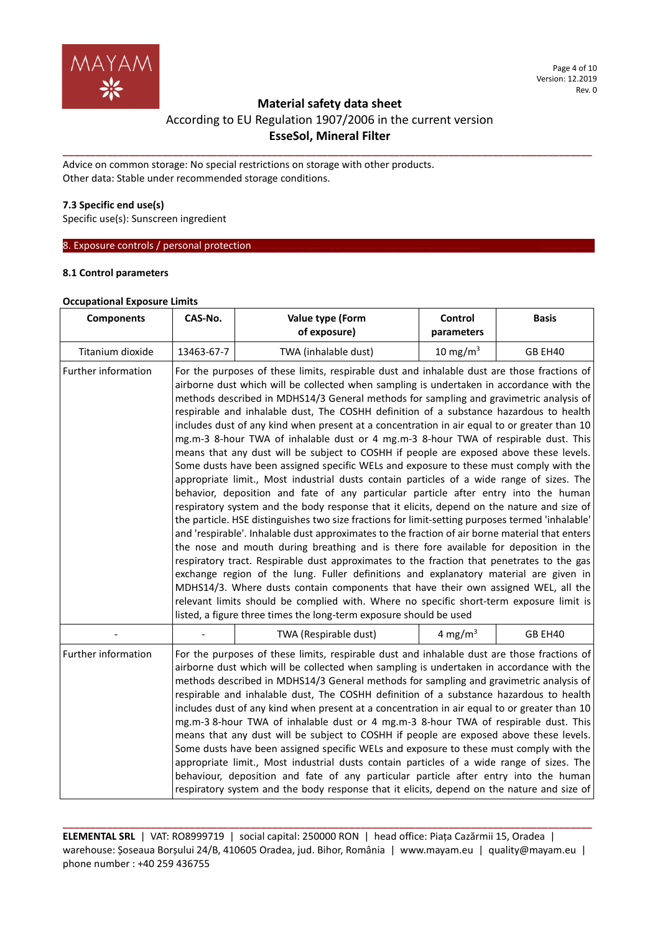

# **Material safety data sheet**  According to EU Regulation 1907/2006 in the current version **EsseSol, Mineral Filter**

**\_\_\_\_\_\_\_\_\_\_\_\_\_\_\_\_\_\_\_\_\_\_\_\_\_\_\_\_\_\_\_\_\_\_\_\_\_\_\_\_\_\_\_\_\_\_\_\_\_\_\_\_\_\_\_\_\_\_\_\_\_\_\_\_\_\_\_\_\_\_\_\_\_\_\_\_\_\_\_\_\_\_\_\_\_\_\_\_\_\_\_\_\_\_\_\_**

Advice on common storage: No special restrictions on storage with other products. Other data: Stable under recommended storage conditions.

## **7.3 Specific end use(s)**

Specific use(s): Sunscreen ingredient

8. Exposure controls / personal protection.

## **8.1 Control parameters**

#### **Occupational Exposure Limits**

| <b>Components</b>   | CAS-No.                                                                                                                                                                                                                                                                                                                                                                                                                                                                                                                                                                                                                                                                                                                                                                                                                                                                                                                                                                                                                                                                                                                                                                                                                                                                                                                                                                                                                                                                                                                                                                                                                                                                                                                                                                                | Value type (Form<br>of exposure) | Control<br>parameters | <b>Basis</b> |
|---------------------|----------------------------------------------------------------------------------------------------------------------------------------------------------------------------------------------------------------------------------------------------------------------------------------------------------------------------------------------------------------------------------------------------------------------------------------------------------------------------------------------------------------------------------------------------------------------------------------------------------------------------------------------------------------------------------------------------------------------------------------------------------------------------------------------------------------------------------------------------------------------------------------------------------------------------------------------------------------------------------------------------------------------------------------------------------------------------------------------------------------------------------------------------------------------------------------------------------------------------------------------------------------------------------------------------------------------------------------------------------------------------------------------------------------------------------------------------------------------------------------------------------------------------------------------------------------------------------------------------------------------------------------------------------------------------------------------------------------------------------------------------------------------------------------|----------------------------------|-----------------------|--------------|
| Titanium dioxide    | 13463-67-7                                                                                                                                                                                                                                                                                                                                                                                                                                                                                                                                                                                                                                                                                                                                                                                                                                                                                                                                                                                                                                                                                                                                                                                                                                                                                                                                                                                                                                                                                                                                                                                                                                                                                                                                                                             | TWA (inhalable dust)             | 10 mg/m $3$           | GB EH40      |
| Further information | For the purposes of these limits, respirable dust and inhalable dust are those fractions of<br>airborne dust which will be collected when sampling is undertaken in accordance with the<br>methods described in MDHS14/3 General methods for sampling and gravimetric analysis of<br>respirable and inhalable dust, The COSHH definition of a substance hazardous to health<br>includes dust of any kind when present at a concentration in air equal to or greater than 10<br>mg.m-3 8-hour TWA of inhalable dust or 4 mg.m-3 8-hour TWA of respirable dust. This<br>means that any dust will be subject to COSHH if people are exposed above these levels.<br>Some dusts have been assigned specific WELs and exposure to these must comply with the<br>appropriate limit., Most industrial dusts contain particles of a wide range of sizes. The<br>behavior, deposition and fate of any particular particle after entry into the human<br>respiratory system and the body response that it elicits, depend on the nature and size of<br>the particle. HSE distinguishes two size fractions for limit-setting purposes termed 'inhalable'<br>and 'respirable'. Inhalable dust approximates to the fraction of air borne material that enters<br>the nose and mouth during breathing and is there fore available for deposition in the<br>respiratory tract. Respirable dust approximates to the fraction that penetrates to the gas<br>exchange region of the lung. Fuller definitions and explanatory material are given in<br>MDHS14/3. Where dusts contain components that have their own assigned WEL, all the<br>relevant limits should be complied with. Where no specific short-term exposure limit is<br>listed, a figure three times the long-term exposure should be used |                                  |                       |              |
|                     |                                                                                                                                                                                                                                                                                                                                                                                                                                                                                                                                                                                                                                                                                                                                                                                                                                                                                                                                                                                                                                                                                                                                                                                                                                                                                                                                                                                                                                                                                                                                                                                                                                                                                                                                                                                        | TWA (Respirable dust)            | 4 mg/m <sup>3</sup>   | GB EH40      |
| Further information | For the purposes of these limits, respirable dust and inhalable dust are those fractions of<br>airborne dust which will be collected when sampling is undertaken in accordance with the<br>methods described in MDHS14/3 General methods for sampling and gravimetric analysis of<br>respirable and inhalable dust, The COSHH definition of a substance hazardous to health<br>includes dust of any kind when present at a concentration in air equal to or greater than 10<br>mg.m-3 8-hour TWA of inhalable dust or 4 mg.m-3 8-hour TWA of respirable dust. This<br>means that any dust will be subject to COSHH if people are exposed above these levels.<br>Some dusts have been assigned specific WELs and exposure to these must comply with the<br>appropriate limit., Most industrial dusts contain particles of a wide range of sizes. The<br>behaviour, deposition and fate of any particular particle after entry into the human<br>respiratory system and the body response that it elicits, depend on the nature and size of                                                                                                                                                                                                                                                                                                                                                                                                                                                                                                                                                                                                                                                                                                                                              |                                  |                       |              |

**ELEMENTAL SRL** | VAT: RO8999719 | social capital: 250000 RON | head office: Piața Cazărmii 15, Oradea | warehouse: Șoseaua Borșului 24/B, 410605 Oradea, jud. Bihor, România | www.mayam.eu | quality@mayam.eu | phone number : +40 259 436755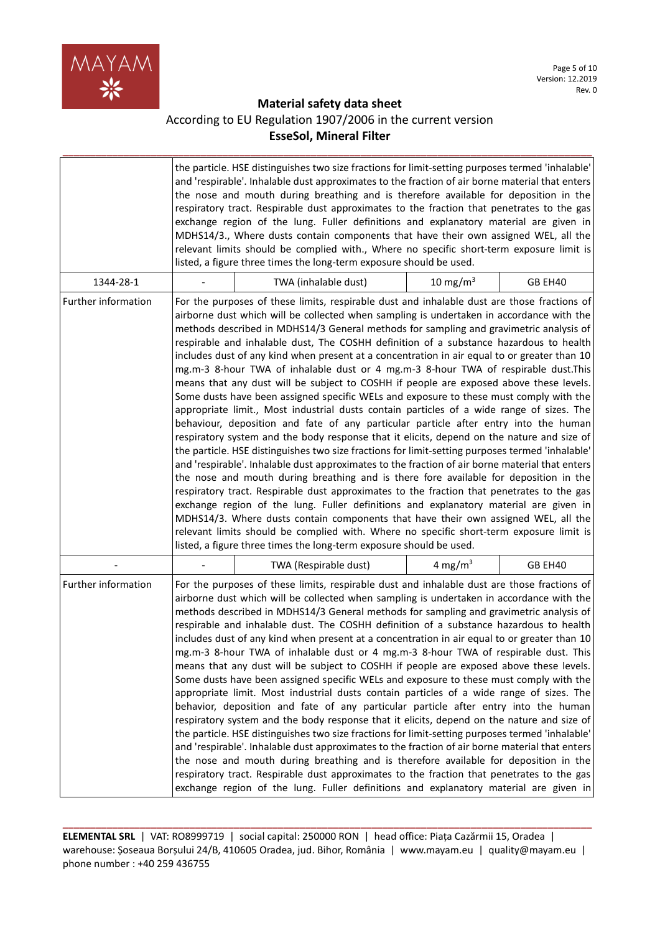

# **Material safety data sheet**  According to EU Regulation 1907/2006 in the current version **EsseSol, Mineral Filter**

**\_\_\_\_\_\_\_\_\_\_\_\_\_\_\_\_\_\_\_\_\_\_\_\_\_\_\_\_\_\_\_\_\_\_\_\_\_\_\_\_\_\_\_\_\_\_\_\_\_\_\_\_\_\_\_\_\_\_\_\_\_\_\_\_\_\_\_\_\_\_\_\_\_\_\_\_\_\_\_\_\_\_\_\_\_\_\_\_\_\_\_\_\_\_\_\_**

|                     | the particle. HSE distinguishes two size fractions for limit-setting purposes termed 'inhalable'<br>and 'respirable'. Inhalable dust approximates to the fraction of air borne material that enters<br>the nose and mouth during breathing and is therefore available for deposition in the<br>respiratory tract. Respirable dust approximates to the fraction that penetrates to the gas<br>exchange region of the lung. Fuller definitions and explanatory material are given in<br>MDHS14/3., Where dusts contain components that have their own assigned WEL, all the<br>relevant limits should be complied with., Where no specific short-term exposure limit is<br>listed, a figure three times the long-term exposure should be used.                                                                                                                                                                                                                                                                                                                                                                                                                                                                                                                                                                                                                                                                                                                                                                                                                                                                                                                                                                                                                                            |                     |         |
|---------------------|-----------------------------------------------------------------------------------------------------------------------------------------------------------------------------------------------------------------------------------------------------------------------------------------------------------------------------------------------------------------------------------------------------------------------------------------------------------------------------------------------------------------------------------------------------------------------------------------------------------------------------------------------------------------------------------------------------------------------------------------------------------------------------------------------------------------------------------------------------------------------------------------------------------------------------------------------------------------------------------------------------------------------------------------------------------------------------------------------------------------------------------------------------------------------------------------------------------------------------------------------------------------------------------------------------------------------------------------------------------------------------------------------------------------------------------------------------------------------------------------------------------------------------------------------------------------------------------------------------------------------------------------------------------------------------------------------------------------------------------------------------------------------------------------|---------------------|---------|
| 1344-28-1           | TWA (inhalable dust)                                                                                                                                                                                                                                                                                                                                                                                                                                                                                                                                                                                                                                                                                                                                                                                                                                                                                                                                                                                                                                                                                                                                                                                                                                                                                                                                                                                                                                                                                                                                                                                                                                                                                                                                                                    | 10 mg/m $3$         | GB EH40 |
| Further information | For the purposes of these limits, respirable dust and inhalable dust are those fractions of<br>airborne dust which will be collected when sampling is undertaken in accordance with the<br>methods described in MDHS14/3 General methods for sampling and gravimetric analysis of<br>respirable and inhalable dust, The COSHH definition of a substance hazardous to health<br>includes dust of any kind when present at a concentration in air equal to or greater than 10<br>mg.m-3 8-hour TWA of inhalable dust or 4 mg.m-3 8-hour TWA of respirable dust.This<br>means that any dust will be subject to COSHH if people are exposed above these levels.<br>Some dusts have been assigned specific WELs and exposure to these must comply with the<br>appropriate limit., Most industrial dusts contain particles of a wide range of sizes. The<br>behaviour, deposition and fate of any particular particle after entry into the human<br>respiratory system and the body response that it elicits, depend on the nature and size of<br>the particle. HSE distinguishes two size fractions for limit-setting purposes termed 'inhalable'<br>and 'respirable'. Inhalable dust approximates to the fraction of air borne material that enters<br>the nose and mouth during breathing and is there fore available for deposition in the<br>respiratory tract. Respirable dust approximates to the fraction that penetrates to the gas<br>exchange region of the lung. Fuller definitions and explanatory material are given in<br>MDHS14/3. Where dusts contain components that have their own assigned WEL, all the<br>relevant limits should be complied with. Where no specific short-term exposure limit is<br>listed, a figure three times the long-term exposure should be used. |                     |         |
|                     | TWA (Respirable dust)                                                                                                                                                                                                                                                                                                                                                                                                                                                                                                                                                                                                                                                                                                                                                                                                                                                                                                                                                                                                                                                                                                                                                                                                                                                                                                                                                                                                                                                                                                                                                                                                                                                                                                                                                                   | 4 mg/m <sup>3</sup> | GB EH40 |
| Further information | For the purposes of these limits, respirable dust and inhalable dust are those fractions of<br>airborne dust which will be collected when sampling is undertaken in accordance with the<br>methods described in MDHS14/3 General methods for sampling and gravimetric analysis of<br>respirable and inhalable dust. The COSHH definition of a substance hazardous to health<br>includes dust of any kind when present at a concentration in air equal to or greater than 10<br>mg.m-3 8-hour TWA of inhalable dust or 4 mg.m-3 8-hour TWA of respirable dust. This<br>means that any dust will be subject to COSHH if people are exposed above these levels.<br>Some dusts have been assigned specific WELs and exposure to these must comply with the<br>appropriate limit. Most industrial dusts contain particles of a wide range of sizes. The<br>behavior, deposition and fate of any particular particle after entry into the human<br>respiratory system and the body response that it elicits, depend on the nature and size of<br>the particle. HSE distinguishes two size fractions for limit-setting purposes termed 'inhalable'<br>and 'respirable'. Inhalable dust approximates to the fraction of air borne material that enters<br>the nose and mouth during breathing and is therefore available for deposition in the<br>respiratory tract. Respirable dust approximates to the fraction that penetrates to the gas<br>exchange region of the lung. Fuller definitions and explanatory material are given in                                                                                                                                                                                                                                                           |                     |         |

**ELEMENTAL SRL** | VAT: RO8999719 | social capital: 250000 RON | head office: Piața Cazărmii 15, Oradea | warehouse: Șoseaua Borșului 24/B, 410605 Oradea, jud. Bihor, România | www.mayam.eu | quality@mayam.eu | phone number : +40 259 436755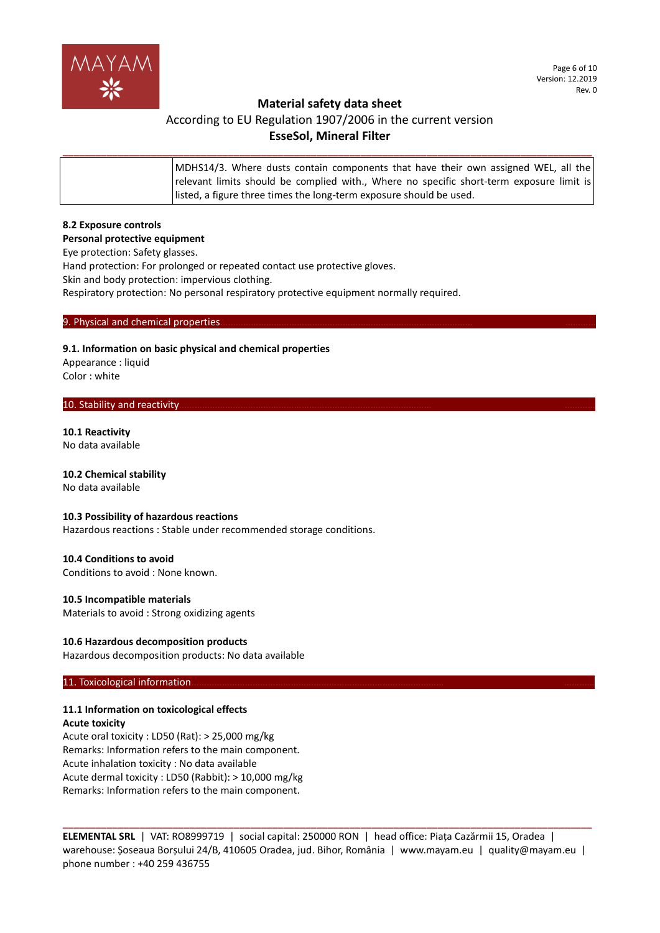

## **Material safety data sheet**

# According to EU Regulation 1907/2006 in the current version **EsseSol, Mineral Filter**

| MDHS14/3. Where dusts contain components that have their own assigned WEL, all the<br>  relevant limits should be complied with., Where no specific short-term exposure limit is<br>listed, a figure three times the long-term exposure should be used. |
|---------------------------------------------------------------------------------------------------------------------------------------------------------------------------------------------------------------------------------------------------------|
|                                                                                                                                                                                                                                                         |

**\_\_\_\_\_\_\_\_\_\_\_\_\_\_\_\_\_\_\_\_\_\_\_\_\_\_\_\_\_\_\_\_\_\_\_\_\_\_\_\_\_\_\_\_\_\_\_\_\_\_\_\_\_\_\_\_\_\_\_\_\_\_\_\_\_\_\_\_\_\_\_\_\_\_\_\_\_\_\_\_\_\_\_\_\_\_\_\_\_\_\_\_\_\_\_\_**

## **8.2 Exposure controls**

#### **Personal protective equipment**

Eye protection: Safety glasses.

Hand protection: For prolonged or repeated contact use protective gloves.

Skin and body protection: impervious clothing.

Respiratory protection: No personal respiratory protective equipment normally required.

#### 9. Physical and chemical properties

## **9.1. Information on basic physical and chemical properties**

Appearance : liquid Color : white

#### 10. Stability and reactivity

## **10.1 Reactivity**

No data available

#### **10.2 Chemical stability**

No data available

## **10.3 Possibility of hazardous reactions**

Hazardous reactions : Stable under recommended storage conditions.

#### **10.4 Conditions to avoid**

Conditions to avoid : None known.

#### **10.5 Incompatible materials**

Materials to avoid : Strong oxidizing agents

#### **10.6 Hazardous decomposition products**

Hazardous decomposition products: No data available

#### 11. Toxicological information

## **11.1 Information on toxicological effects**

**Acute toxicity** Acute oral toxicity : LD50 (Rat): > 25,000 mg/kg Remarks: Information refers to the main component. Acute inhalation toxicity : No data available Acute dermal toxicity : LD50 (Rabbit): > 10,000 mg/kg Remarks: Information refers to the main component.

**ELEMENTAL SRL** | VAT: RO8999719 | social capital: 250000 RON | head office: Piața Cazărmii 15, Oradea | warehouse: Șoseaua Borșului 24/B, 410605 Oradea, jud. Bihor, România | www.mayam.eu | quality@mayam.eu | phone number : +40 259 436755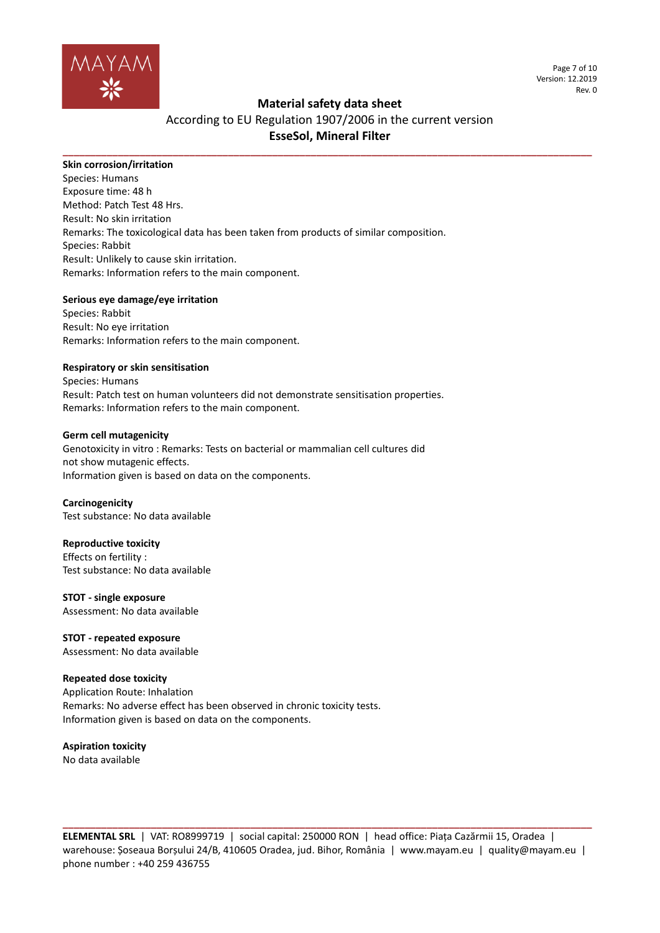

Page 7 of 10 Version: 12.2019 Rev. 0

## **Material safety data sheet**

# According to EU Regulation 1907/2006 in the current version **EsseSol, Mineral Filter**

**\_\_\_\_\_\_\_\_\_\_\_\_\_\_\_\_\_\_\_\_\_\_\_\_\_\_\_\_\_\_\_\_\_\_\_\_\_\_\_\_\_\_\_\_\_\_\_\_\_\_\_\_\_\_\_\_\_\_\_\_\_\_\_\_\_\_\_\_\_\_\_\_\_\_\_\_\_\_\_\_\_\_\_\_\_\_\_\_\_\_\_\_\_\_\_\_**

## **Skin corrosion/irritation**

Species: Humans Exposure time: 48 h Method: Patch Test 48 Hrs. Result: No skin irritation Remarks: The toxicological data has been taken from products of similar composition. Species: Rabbit Result: Unlikely to cause skin irritation. Remarks: Information refers to the main component.

## **Serious eye damage/eye irritation**

Species: Rabbit Result: No eye irritation Remarks: Information refers to the main component.

## **Respiratory or skin sensitisation**

Species: Humans Result: Patch test on human volunteers did not demonstrate sensitisation properties. Remarks: Information refers to the main component.

#### **Germ cell mutagenicity**

Genotoxicity in vitro : Remarks: Tests on bacterial or mammalian cell cultures did not show mutagenic effects. Information given is based on data on the components.

#### **Carcinogenicity**

Test substance: No data available

#### **Reproductive toxicity**

Effects on fertility : Test substance: No data available

#### **STOT - single exposure**

Assessment: No data available

**STOT - repeated exposure** Assessment: No data available

## **Repeated dose toxicity**

Application Route: Inhalation Remarks: No adverse effect has been observed in chronic toxicity tests. Information given is based on data on the components.

**Aspiration toxicity** No data available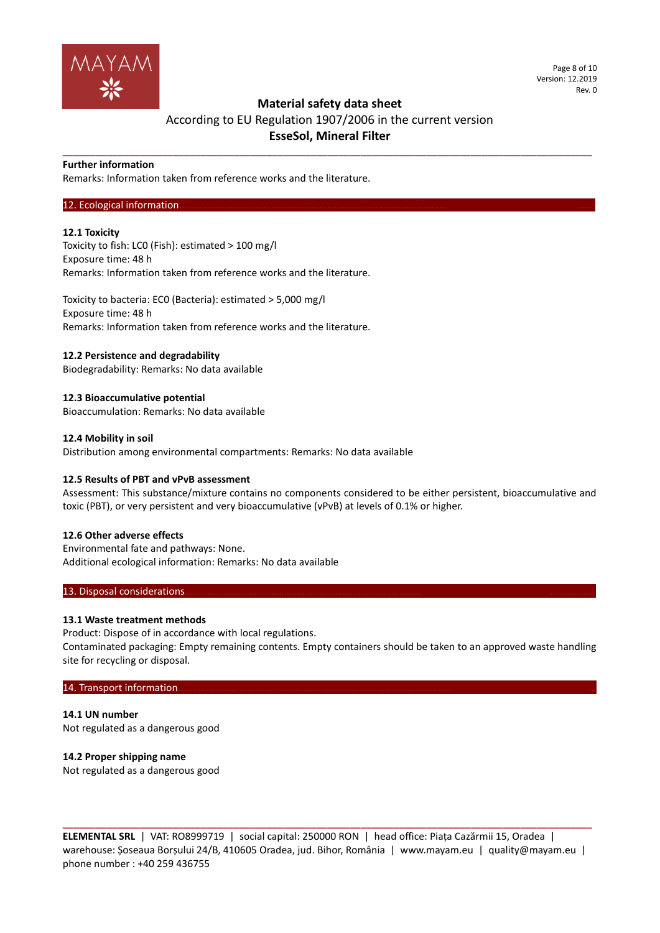

#### Page 8 of 10 Version: 12.2019 Rev. 0

## **Material safety data sheet**

## According to EU Regulation 1907/2006 in the current version **EsseSol, Mineral Filter**

**\_\_\_\_\_\_\_\_\_\_\_\_\_\_\_\_\_\_\_\_\_\_\_\_\_\_\_\_\_\_\_\_\_\_\_\_\_\_\_\_\_\_\_\_\_\_\_\_\_\_\_\_\_\_\_\_\_\_\_\_\_\_\_\_\_\_\_\_\_\_\_\_\_\_\_\_\_\_\_\_\_\_\_\_\_\_\_\_\_\_\_\_\_\_\_\_**

#### **Further information**

Remarks: Information taken from reference works and the literature.

## 12. Ecological information

## **12.1 Toxicity**

Toxicity to fish: LC0 (Fish): estimated > 100 mg/l Exposure time: 48 h Remarks: Information taken from reference works and the literature.

Toxicity to bacteria: EC0 (Bacteria): estimated > 5,000 mg/l Exposure time: 48 h Remarks: Information taken from reference works and the literature.

## **12.2 Persistence and degradability**

Biodegradability: Remarks: No data available

**12.3 Bioaccumulative potential** Bioaccumulation: Remarks: No data available

## **12.4 Mobility in soil**

Distribution among environmental compartments: Remarks: No data available

#### **12.5 Results of PBT and vPvB assessment**

Assessment: This substance/mixture contains no components considered to be either persistent, bioaccumulative and toxic (PBT), or very persistent and very bioaccumulative (vPvB) at levels of 0.1% or higher.

#### **12.6 Other adverse effects**

Environmental fate and pathways: None. Additional ecological information: Remarks: No data available

#### 13. Disposal considerations

## **13.1 Waste treatment methods**

Product: Dispose of in accordance with local regulations. Contaminated packaging: Empty remaining contents. Empty containers should be taken to an approved waste handling site for recycling or disposal.

#### 14. Transport information...

**14.1 UN number** Not regulated as a dangerous good

## **14.2 Proper shipping name**

Not regulated as a dangerous good

**ELEMENTAL SRL** | VAT: RO8999719 | social capital: 250000 RON | head office: Piața Cazărmii 15, Oradea | warehouse: Șoseaua Borșului 24/B, 410605 Oradea, jud. Bihor, România | www.mayam.eu | quality@mayam.eu | phone number : +40 259 436755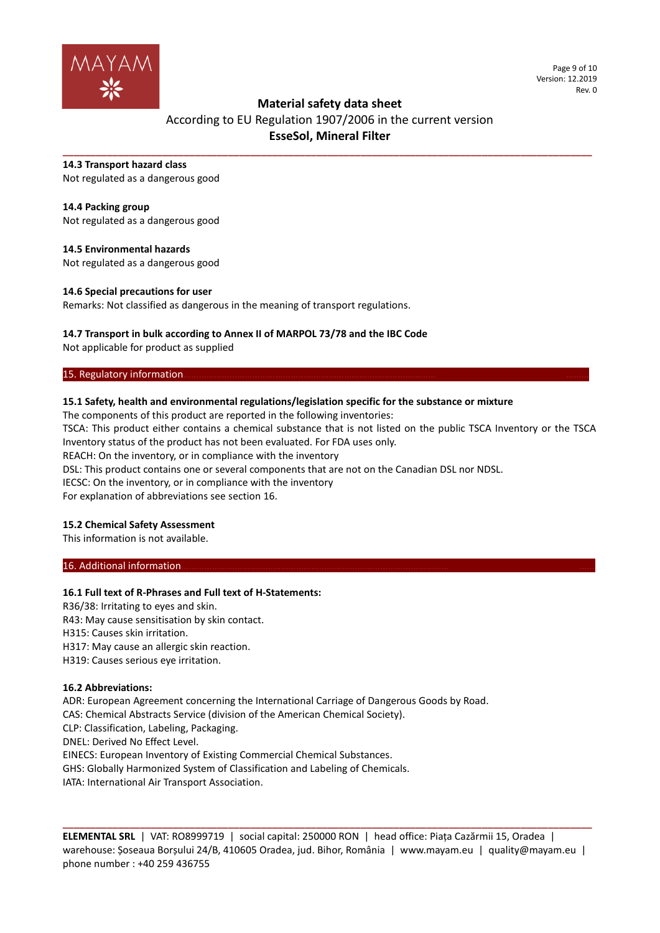

#### Page 9 of 10 Version: 12.2019 Rev. 0

## **Material safety data sheet**

# According to EU Regulation 1907/2006 in the current version **EsseSol, Mineral Filter**

**\_\_\_\_\_\_\_\_\_\_\_\_\_\_\_\_\_\_\_\_\_\_\_\_\_\_\_\_\_\_\_\_\_\_\_\_\_\_\_\_\_\_\_\_\_\_\_\_\_\_\_\_\_\_\_\_\_\_\_\_\_\_\_\_\_\_\_\_\_\_\_\_\_\_\_\_\_\_\_\_\_\_\_\_\_\_\_\_\_\_\_\_\_\_\_\_**

#### **14.3 Transport hazard class**

Not regulated as a dangerous good

## **14.4 Packing group**

Not regulated as a dangerous good

## **14.5 Environmental hazards**

Not regulated as a dangerous good

## **14.6 Special precautions for user**

Remarks: Not classified as dangerous in the meaning of transport regulations.

## **14.7 Transport in bulk according to Annex II of MARPOL 73/78 and the IBC Code**

Not applicable for product as supplied

## 15. Regulatory information

## **15.1 Safety, health and environmental regulations/legislation specific for the substance or mixture**

The components of this product are reported in the following inventories:

TSCA: This product either contains a chemical substance that is not listed on the public TSCA Inventory or the TSCA Inventory status of the product has not been evaluated. For FDA uses only.

REACH: On the inventory, or in compliance with the inventory

DSL: This product contains one or several components that are not on the Canadian DSL nor NDSL.

IECSC: On the inventory, or in compliance with the inventory

For explanation of abbreviations see section 16.

## **15.2 Chemical Safety Assessment**

This information is not available.

## 16. Additional information

## **16.1 Full text of R-Phrases and Full text of H-Statements:**

R36/38: Irritating to eyes and skin. R43: May cause sensitisation by skin contact. H315: Causes skin irritation. H317: May cause an allergic skin reaction. H319: Causes serious eye irritation.

## **16.2 Abbreviations:**

ADR: European Agreement concerning the International Carriage of Dangerous Goods by Road. CAS: Chemical Abstracts Service (division of the American Chemical Society). CLP: Classification, Labeling, Packaging. DNEL: Derived No Effect Level. EINECS: European Inventory of Existing Commercial Chemical Substances. GHS: Globally Harmonized System of Classification and Labeling of Chemicals. IATA: International Air Transport Association.

**ELEMENTAL SRL** | VAT: RO8999719 | social capital: 250000 RON | head office: Piața Cazărmii 15, Oradea | warehouse: Șoseaua Borșului 24/B, 410605 Oradea, jud. Bihor, România | www.mayam.eu | quality@mayam.eu | phone number : +40 259 436755